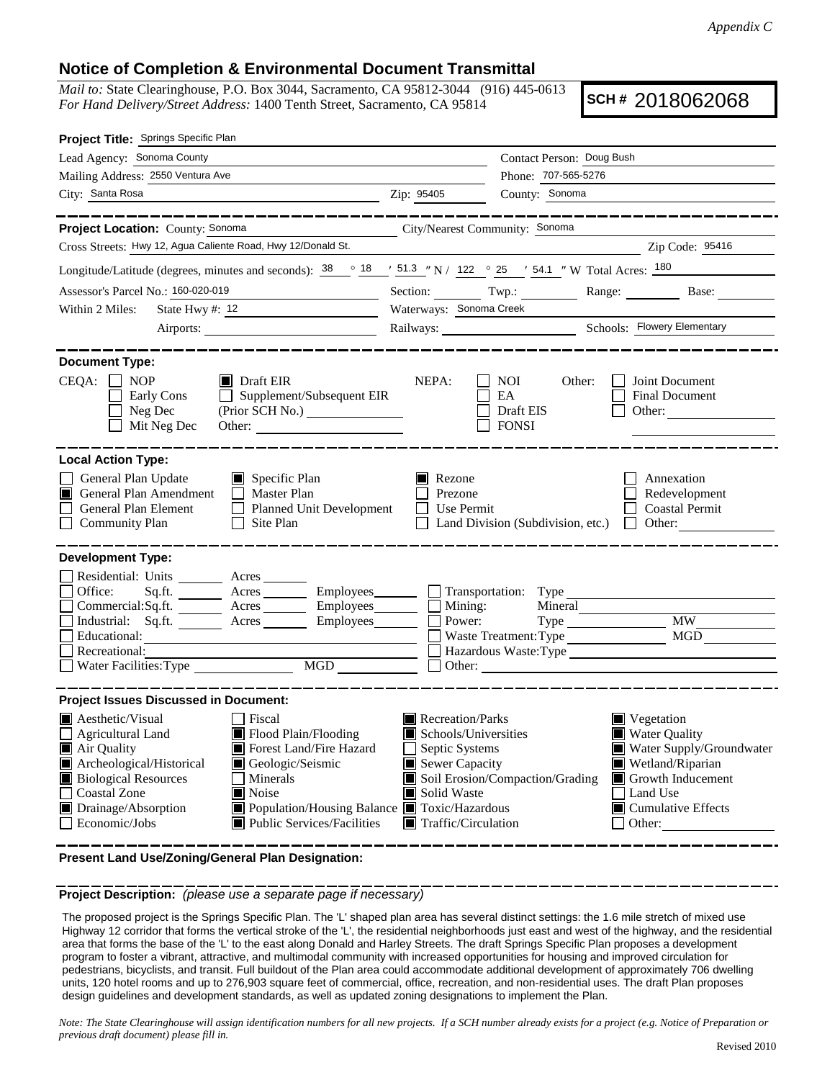## **Notice of Completion & Environmental Document Transmittal**

*Mail to:* State Clearinghouse, P.O. Box 3044, Sacramento, CA 95812-3044 (916) 445-0613 *For Hand Delivery/Street Address:* 1400 Tenth Street, Sacramento, CA 95814

**SCH #** 2018062068

| Project Title: Springs Specific Plan                                                                                                                                                                                                                                                                                                                                                                          |                                                                                                                                                                      |                                                                                                                                                                                                                                                                          |                                                                                                                                                                           |
|---------------------------------------------------------------------------------------------------------------------------------------------------------------------------------------------------------------------------------------------------------------------------------------------------------------------------------------------------------------------------------------------------------------|----------------------------------------------------------------------------------------------------------------------------------------------------------------------|--------------------------------------------------------------------------------------------------------------------------------------------------------------------------------------------------------------------------------------------------------------------------|---------------------------------------------------------------------------------------------------------------------------------------------------------------------------|
| Lead Agency: Sonoma County                                                                                                                                                                                                                                                                                                                                                                                    |                                                                                                                                                                      | Contact Person: Doug Bush                                                                                                                                                                                                                                                |                                                                                                                                                                           |
| Mailing Address: 2550 Ventura Ave                                                                                                                                                                                                                                                                                                                                                                             | Phone: 707-565-5276                                                                                                                                                  |                                                                                                                                                                                                                                                                          |                                                                                                                                                                           |
| City: Santa Rosa<br><u> 1989 - Johann Barn, fransk politik (d. 1989)</u>                                                                                                                                                                                                                                                                                                                                      | Zip: 95405                                                                                                                                                           | County: Sonoma                                                                                                                                                                                                                                                           |                                                                                                                                                                           |
| ______________                                                                                                                                                                                                                                                                                                                                                                                                |                                                                                                                                                                      |                                                                                                                                                                                                                                                                          | _________________                                                                                                                                                         |
| Project Location: County: Sonoma<br>City/Nearest Community: Sonoma                                                                                                                                                                                                                                                                                                                                            |                                                                                                                                                                      |                                                                                                                                                                                                                                                                          |                                                                                                                                                                           |
| Cross Streets: Hwy 12, Agua Caliente Road, Hwy 12/Donald St.                                                                                                                                                                                                                                                                                                                                                  |                                                                                                                                                                      |                                                                                                                                                                                                                                                                          | Zip Code: 95416                                                                                                                                                           |
| Longitude/Latitude (degrees, minutes and seconds): $\frac{38}{18}$ $\degree$ $\frac{18}{18}$ $\degree$ $\frac{151.3}{18}$ $\degree$ N / 122 $\degree$ 25 $\degree$ 54.1 $\degree$ W Total Acres: $\frac{180}{180}$                                                                                                                                                                                            |                                                                                                                                                                      |                                                                                                                                                                                                                                                                          |                                                                                                                                                                           |
| Assessor's Parcel No.: 160-020-019                                                                                                                                                                                                                                                                                                                                                                            |                                                                                                                                                                      |                                                                                                                                                                                                                                                                          | Section: Twp.: Range: Base:                                                                                                                                               |
| State Hwy #: $12$<br>Within 2 Miles:                                                                                                                                                                                                                                                                                                                                                                          | Waterways: Sonoma Creek                                                                                                                                              |                                                                                                                                                                                                                                                                          |                                                                                                                                                                           |
|                                                                                                                                                                                                                                                                                                                                                                                                               |                                                                                                                                                                      |                                                                                                                                                                                                                                                                          |                                                                                                                                                                           |
| <b>Document Type:</b><br>$CEQA: \Box NP$<br>$\blacksquare$ Draft EIR<br>$\Box$ Supplement/Subsequent EIR<br>Early Cons<br>Neg Dec<br>Mit Neg Dec                                                                                                                                                                                                                                                              | NEPA:                                                                                                                                                                | NOI<br>Other:<br>EA<br>Draft EIS<br><b>FONSI</b>                                                                                                                                                                                                                         | Joint Document<br><b>Final Document</b><br>Other:                                                                                                                         |
| <b>Local Action Type:</b>                                                                                                                                                                                                                                                                                                                                                                                     |                                                                                                                                                                      |                                                                                                                                                                                                                                                                          |                                                                                                                                                                           |
| General Plan Update<br>$\blacksquare$ Specific Plan<br>General Plan Amendment<br>$\Box$ Master Plan<br>IШ<br>General Plan Element<br>Planned Unit Development<br><b>Community Plan</b><br>$\Box$ Site Plan                                                                                                                                                                                                    | $\blacksquare$ Rezone<br>Prezone<br>Use Permit                                                                                                                       | Land Division (Subdivision, etc.)                                                                                                                                                                                                                                        | Annexation<br>Redevelopment<br><b>Coastal Permit</b><br>$\Box$ Other:                                                                                                     |
| <b>Development Type:</b><br>Residential: Units ________ Acres _______<br>Office:<br>Sq.ft. ________ Acres _________ Employees________ __ Transportation: Type _________________________<br>Commercial:Sq.ft. _________ Acres __________ Employees________<br>Industrial: Sq.ft. _______ Acres _______ Employees_______<br>Educational:<br>Recreational:<br>$\underline{\text{MGD}}$<br>Water Facilities: Type | $\Box$ Mining:<br>Power:                                                                                                                                             | Mineral<br>Waste Treatment: Type<br>Other: <u>the contract of the contract of the contract of the contract of the contract of the contract of the contract of the contract of the contract of the contract of the contract of the contract of the contract of the co</u> | <b>MW</b><br>MGD<br>Hazardous Waste:Type                                                                                                                                  |
| <b>Project Issues Discussed in Document:</b>                                                                                                                                                                                                                                                                                                                                                                  |                                                                                                                                                                      |                                                                                                                                                                                                                                                                          |                                                                                                                                                                           |
| Aesthetic/Visual<br>  Fiscal<br>Flood Plain/Flooding<br>$\Box$ Agricultural Land<br>Air Quality<br>Forest Land/Fire Hazard<br>Archeological/Historical<br>Geologic/Seismic<br><b>Biological Resources</b><br>Minerals<br>Coastal Zone<br><b>■</b> Noise<br>Drainage/Absorption<br>■ Population/Housing Balance ■ Toxic/Hazardous<br>Economic/Jobs<br>■ Public Services/Facilities                             | Recreation/Parks<br>Schools/Universities<br>Septic Systems<br>Sewer Capacity<br>Soil Erosion/Compaction/Grading<br>Solid Waste<br>$\blacksquare$ Traffic/Circulation |                                                                                                                                                                                                                                                                          | Vegetation<br><b>Water Quality</b><br>Water Supply/Groundwater<br>Wetland/Riparian<br>Growth Inducement<br>Land Use<br>$\blacksquare$ Cumulative Effects<br>$\Box$ Other: |

**Present Land Use/Zoning/General Plan Designation:**

**Project Description:** *(please use a separate page if necessary)*

 The proposed project is the Springs Specific Plan. The 'L' shaped plan area has several distinct settings: the 1.6 mile stretch of mixed use Highway 12 corridor that forms the vertical stroke of the 'L', the residential neighborhoods just east and west of the highway, and the residential area that forms the base of the 'L' to the east along Donald and Harley Streets. The draft Springs Specific Plan proposes a development program to foster a vibrant, attractive, and multimodal community with increased opportunities for housing and improved circulation for pedestrians, bicyclists, and transit. Full buildout of the Plan area could accommodate additional development of approximately 706 dwelling units, 120 hotel rooms and up to 276,903 square feet of commercial, office, recreation, and non-residential uses. The draft Plan proposes design guidelines and development standards, as well as updated zoning designations to implement the Plan.

*Note: The State Clearinghouse will assign identification numbers for all new projects. If a SCH number already exists for a project (e.g. Notice of Preparation or previous draft document) please fill in.*